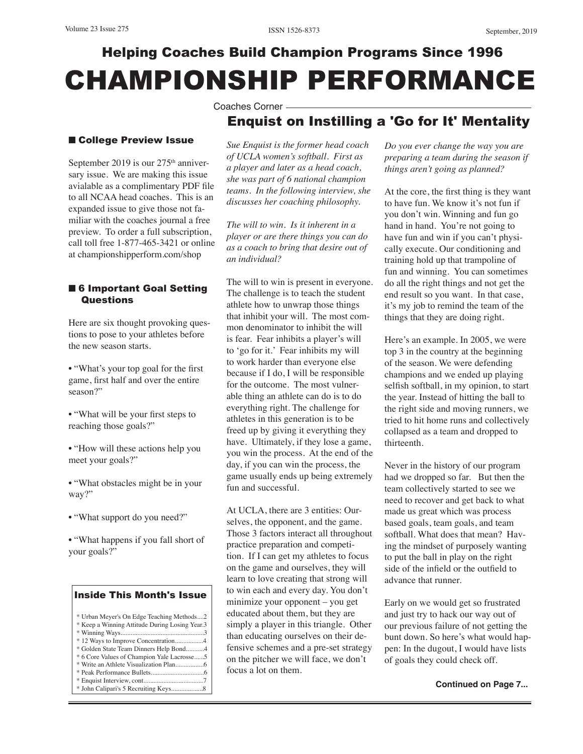# CHAMPIONSHIP PERFORMANCE Helping Coaches Build Champion Programs Since 1996

#### ■ College Preview Issue

September 2019 is our  $275<sup>th</sup>$  anniversary issue. We are making this issue avialable as a complimentary PDF file to all NCAA head coaches. This is an expanded issue to give those not familiar with the coaches journal a free preview. To order a full subscription, call toll free 1-877-465-3421 or online at championshipperform.com/shop

#### ■ 6 Important Goal Setting **Questions**

Here are six thought provoking questions to pose to your athletes before the new season starts.

• "What's your top goal for the first game, first half and over the entire season?"

• "What will be your first steps to reaching those goals?"

• "How will these actions help you meet your goals?"

• "What obstacles might be in your way?"

• "What support do you need?"

• "What happens if you fall short of your goals?"

#### Inside This Month's Issue

| * Urban Meyer's On Edge Teaching Methods2      |
|------------------------------------------------|
| * Keep a Winning Attitude During Losing Year.3 |
|                                                |
|                                                |
| * Golden State Team Dinners Help Bond4         |
| * 6 Core Values of Champion Yale Lacrosse5     |
|                                                |
|                                                |
|                                                |

\* Enquist Interview, cont....................................7 \* John Calipari's 5 Recruiting Keys...

#### Coaches Corner

### Enquist on Instilling a 'Go for It' Mentality

*Sue Enquist is the former head coach of UCLA women's softball. First as a player and later as a head coach, she was part of 6 national champion teams. In the following interview, she discusses her coaching philosophy.*

*The will to win. Is it inherent in a player or are there things you can do as a coach to bring that desire out of an individual?* 

The will to win is present in everyone. The challenge is to teach the student athlete how to unwrap those things that inhibit your will. The most common denominator to inhibit the will is fear. Fear inhibits a player's will to 'go for it.' Fear inhibits my will to work harder than everyone else because if I do, I will be responsible for the outcome. The most vulnerable thing an athlete can do is to do everything right. The challenge for athletes in this generation is to be freed up by giving it everything they have. Ultimately, if they lose a game, you win the process. At the end of the day, if you can win the process, the game usually ends up being extremely fun and successful.

At UCLA, there are 3 entities: Ourselves, the opponent, and the game. Those 3 factors interact all throughout practice preparation and competition. If I can get my athletes to focus on the game and ourselves, they will learn to love creating that strong will to win each and every day. You don't minimize your opponent – you get educated about them, but they are simply a player in this triangle. Other than educating ourselves on their defensive schemes and a pre-set strategy on the pitcher we will face, we don't focus a lot on them.

*Do you ever change the way you are preparing a team during the season if things aren't going as planned?* 

At the core, the first thing is they want to have fun. We know it's not fun if you don't win. Winning and fun go hand in hand. You're not going to have fun and win if you can't physically execute. Our conditioning and training hold up that trampoline of fun and winning. You can sometimes do all the right things and not get the end result so you want. In that case, it's my job to remind the team of the things that they are doing right.

Here's an example. In 2005, we were top 3 in the country at the beginning of the season. We were defending champions and we ended up playing selfish softball, in my opinion, to start the year. Instead of hitting the ball to the right side and moving runners, we tried to hit home runs and collectively collapsed as a team and dropped to thirteenth.

Never in the history of our program had we dropped so far. But then the team collectively started to see we need to recover and get back to what made us great which was process based goals, team goals, and team softball. What does that mean? Having the mindset of purposely wanting to put the ball in play on the right side of the infield or the outfield to advance that runner.

Early on we would get so frustrated and just try to hack our way out of our previous failure of not getting the bunt down. So here's what would happen: In the dugout, I would have lists of goals they could check off.

**Continued on Page 7...**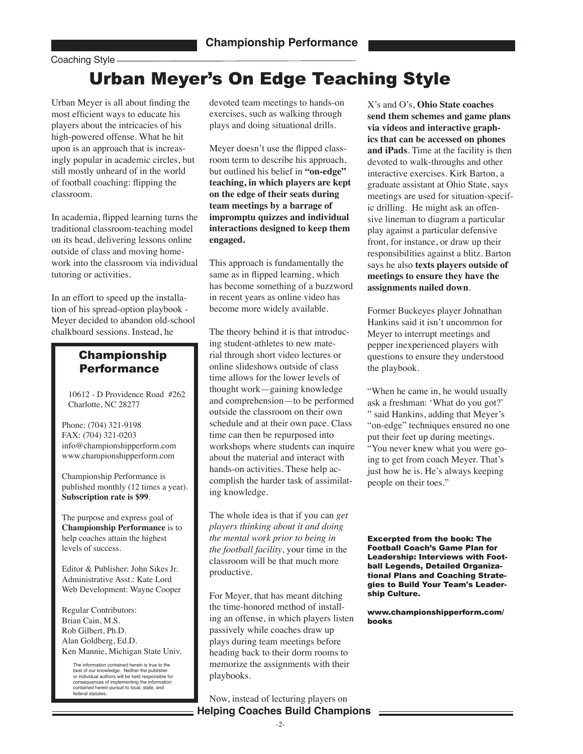#### Coaching Style

## Urban Meyer's On Edge Teaching Style

Urban Meyer is all about finding the most efficient ways to educate his players about the intricacies of his high-powered offense. What he hit upon is an approach that is increasingly popular in academic circles, but still mostly unheard of in the world of football coaching: flipping the classroom.

In academia, flipped learning turns the traditional classroom-teaching model on its head, delivering lessons online outside of class and moving homework into the classroom via individual tutoring or activities.

In an effort to speed up the installation of his spread-option playbook - Meyer decided to abandon old-school chalkboard sessions. Instead, he

#### Championship **Performance**

 10612 - D Providence Road #262 Charlotte, NC 28277

Phone: (704) 321-9198 FAX: (704) 321-0203 info@championshipperform.com www.championshipperform.com

Championship Performance is published monthly (12 times a year). **Subscription rate is \$99**.

The purpose and express goal of **Championship Performance** is to help coaches attain the highest levels of success.

Editor & Publisher: John Sikes Jr. Administrative Asst.: Kate Lord Web Development: Wayne Cooper

Regular Contributors: Brian Cain, M.S. Rob Gilbert, Ph.D. Alan Goldberg, Ed.D. Ken Mannie, Michigan State Univ.

The information contained herein is true to the best of our knowledge. Neither the publisher or individual authors will be held responsible for consequences of implementing the information contained herein pursuit to local, state, and federal statutes.

devoted team meetings to hands-on exercises, such as walking through plays and doing situational drills.

Meyer doesn't use the flipped classroom term to describe his approach, but outlined his belief in **"on-edge" teaching, in which players are kept on the edge of their seats during team meetings by a barrage of impromptu quizzes and individual interactions designed to keep them engaged.**

This approach is fundamentally the same as in flipped learning, which has become something of a buzzword in recent years as online video has become more widely available.

The theory behind it is that introducing student-athletes to new material through short video lectures or online slideshows outside of class time allows for the lower levels of thought work—gaining knowledge and comprehension—to be performed outside the classroom on their own schedule and at their own pace. Class time can then be repurposed into workshops where students can inquire about the material and interact with hands-on activities. These help accomplish the harder task of assimilating knowledge.

The whole idea is that if you can *get players thinking about it and doing the mental work prior to being in the football facility*, your time in the classroom will be that much more productive.

For Meyer, that has meant ditching the time-honored method of installing an offense, in which players listen passively while coaches draw up plays during team meetings before heading back to their dorm rooms to memorize the assignments with their playbooks.

**Helping Coaches Build Champions** Now, instead of lecturing players on

X's and O's, **Ohio State coaches send them schemes and game plans via videos and interactive graphics that can be accessed on phones and iPads**. Time at the facility is then devoted to walk-throughs and other interactive exercises. Kirk Barton, a graduate assistant at Ohio State, says meetings are used for situation-specific drilling. He might ask an offensive lineman to diagram a particular play against a particular defensive front, for instance, or draw up their responsibilities against a blitz. Barton says he also **texts players outside of meetings to ensure they have the assignments nailed down**.

Former Buckeyes player Johnathan Hankins said it isn't uncommon for Meyer to interrupt meetings and pepper inexperienced players with questions to ensure they understood the playbook.

"When he came in, he would usually ask a freshman: 'What do you got?' " said Hankins, adding that Meyer's "on-edge" techniques ensured no one put their feet up during meetings. "You never knew what you were going to get from coach Meyer. That's just how he is. He's always keeping people on their toes."

Excerpted from the book: The Football Coach's Game Plan for Leadership: Interviews with Football Legends, Detailed Organizational Plans and Coaching Strategies to Build Your Team's Leadership Culture.

www.championshipperform.com/ books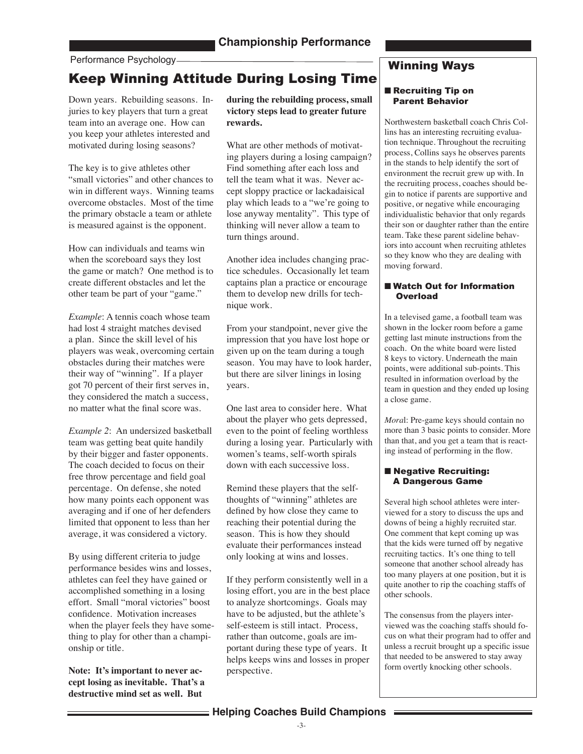#### Performance Psychology

### Keep Winning Attitude During Losing Time

Down years. Rebuilding seasons. Injuries to key players that turn a great team into an average one. How can you keep your athletes interested and motivated during losing seasons?

The key is to give athletes other "small victories" and other chances to win in different ways. Winning teams overcome obstacles. Most of the time the primary obstacle a team or athlete is measured against is the opponent.

How can individuals and teams win when the scoreboard says they lost the game or match? One method is to create different obstacles and let the other team be part of your "game."

*Example*: A tennis coach whose team had lost 4 straight matches devised a plan. Since the skill level of his players was weak, overcoming certain obstacles during their matches were their way of "winning". If a player got 70 percent of their first serves in, they considered the match a success, no matter what the final score was.

*Example 2*: An undersized basketball team was getting beat quite handily by their bigger and faster opponents. The coach decided to focus on their free throw percentage and field goal percentage. On defense, she noted how many points each opponent was averaging and if one of her defenders limited that opponent to less than her average, it was considered a victory.

By using different criteria to judge performance besides wins and losses, athletes can feel they have gained or accomplished something in a losing effort. Small "moral victories" boost confidence. Motivation increases when the player feels they have something to play for other than a championship or title.

**Note: It's important to never accept losing as inevitable. That's a destructive mind set as well. But** 

**during the rebuilding process, small victory steps lead to greater future rewards.**

What are other methods of motivating players during a losing campaign? Find something after each loss and tell the team what it was. Never accept sloppy practice or lackadaisical play which leads to a "we're going to lose anyway mentality". This type of thinking will never allow a team to turn things around.

Another idea includes changing practice schedules. Occasionally let team captains plan a practice or encourage them to develop new drills for technique work.

From your standpoint, never give the impression that you have lost hope or given up on the team during a tough season. You may have to look harder, but there are silver linings in losing years.

One last area to consider here. What about the player who gets depressed, even to the point of feeling worthless during a losing year. Particularly with women's teams, self-worth spirals down with each successive loss.

Remind these players that the selfthoughts of "winning" athletes are defined by how close they came to reaching their potential during the season. This is how they should evaluate their performances instead only looking at wins and losses.

If they perform consistently well in a losing effort, you are in the best place to analyze shortcomings. Goals may have to be adjusted, but the athlete's self-esteem is still intact. Process, rather than outcome, goals are important during these type of years. It helps keeps wins and losses in proper perspective.

#### Winning Ways

#### **Recruiting Tip on** Parent Behavior

Northwestern basketball coach Chris Collins has an interesting recruiting evaluation technique. Throughout the recruiting process, Collins says he observes parents in the stands to help identify the sort of environment the recruit grew up with. In the recruiting process, coaches should begin to notice if parents are supportive and positive, or negative while encouraging individualistic behavior that only regards their son or daughter rather than the entire team. Take these parent sideline behaviors into account when recruiting athletes so they know who they are dealing with moving forward.

#### ■ Watch Out for Information **Overload**

In a televised game, a football team was shown in the locker room before a game getting last minute instructions from the coach. On the white board were listed 8 keys to victory. Underneath the main points, were additional sub-points. This resulted in information overload by the team in question and they ended up losing a close game.

*Mora*l: Pre-game keys should contain no more than 3 basic points to consider. More than that, and you get a team that is reacting instead of performing in the flow.

#### **Negative Recruiting:** A Dangerous Game

Several high school athletes were interviewed for a story to discuss the ups and downs of being a highly recruited star. One comment that kept coming up was that the kids were turned off by negative recruiting tactics. It's one thing to tell someone that another school already has too many players at one position, but it is quite another to rip the coaching staffs of other schools.

The consensus from the players interviewed was the coaching staffs should focus on what their program had to offer and unless a recruit brought up a specific issue that needed to be answered to stay away form overtly knocking other schools.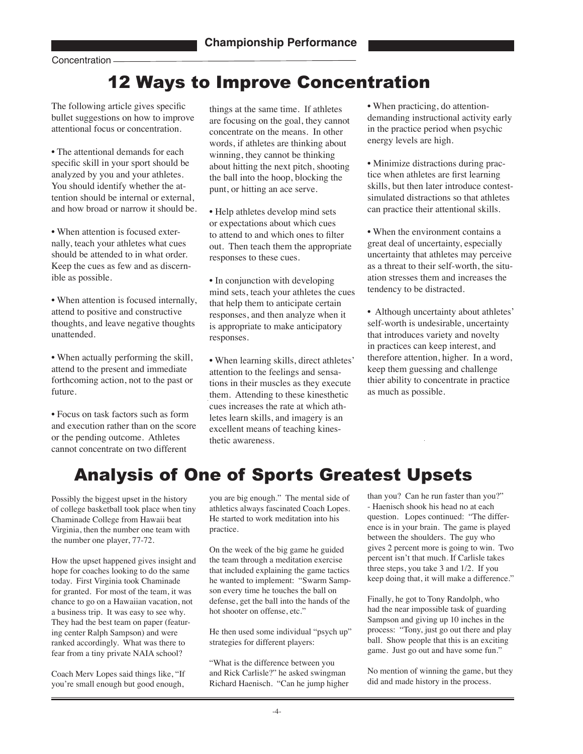#### Concentration

## 12 Ways to Improve Concentration

The following article gives specific bullet suggestions on how to improve attentional focus or concentration.

• The attentional demands for each specific skill in your sport should be analyzed by you and your athletes. You should identify whether the attention should be internal or external, and how broad or narrow it should be.

• When attention is focused externally, teach your athletes what cues should be attended to in what order. Keep the cues as few and as discernible as possible.

• When attention is focused internally, attend to positive and constructive thoughts, and leave negative thoughts unattended.

• When actually performing the skill, attend to the present and immediate forthcoming action, not to the past or future.

• Focus on task factors such as form and execution rather than on the score or the pending outcome. Athletes cannot concentrate on two different

things at the same time. If athletes are focusing on the goal, they cannot concentrate on the means. In other words, if athletes are thinking about winning, they cannot be thinking about hitting the next pitch, shooting the ball into the hoop, blocking the punt, or hitting an ace serve.

- Help athletes develop mind sets or expectations about which cues to attend to and which ones to filter out. Then teach them the appropriate responses to these cues.
- In conjunction with developing mind sets, teach your athletes the cues that help them to anticipate certain responses, and then analyze when it is appropriate to make anticipatory responses.
- When learning skills, direct athletes' attention to the feelings and sensations in their muscles as they execute them. Attending to these kinesthetic cues increases the rate at which athletes learn skills, and imagery is an excellent means of teaching kinesthetic awareness.

• When practicing, do attentiondemanding instructional activity early in the practice period when psychic energy levels are high.

- Minimize distractions during practice when athletes are first learning skills, but then later introduce contestsimulated distractions so that athletes can practice their attentional skills.
- When the environment contains a great deal of uncertainty, especially uncertainty that athletes may perceive as a threat to their self-worth, the situation stresses them and increases the tendency to be distracted.
- Although uncertainty about athletes' self-worth is undesirable, uncertainty that introduces variety and novelty in practices can keep interest, and therefore attention, higher. In a word, keep them guessing and challenge thier ability to concentrate in practice as much as possible.

### Analysis of One of Sports Greatest Upsets

Possibly the biggest upset in the history of college basketball took place when tiny Chaminade College from Hawaii beat Virginia, then the number one team with the number one player, 77-72.

How the upset happened gives insight and hope for coaches looking to do the same today. First Virginia took Chaminade for granted. For most of the team, it was chance to go on a Hawaiian vacation, not a business trip. It was easy to see why. They had the best team on paper (featuring center Ralph Sampson) and were ranked accordingly. What was there to fear from a tiny private NAIA school?

Coach Merv Lopes said things like, "If you're small enough but good enough,

you are big enough." The mental side of athletics always fascinated Coach Lopes. He started to work meditation into his practice.

On the week of the big game he guided the team through a meditation exercise that included explaining the game tactics he wanted to implement: "Swarm Sampson every time he touches the ball on defense, get the ball into the hands of the hot shooter on offense, etc."

He then used some individual "psych up" strategies for different players:

"What is the difference between you and Rick Carlisle?" he asked swingman Richard Haenisch. "Can he jump higher than you? Can he run faster than you?" - Haenisch shook his head no at each question. Lopes continued: "The difference is in your brain. The game is played between the shoulders. The guy who gives 2 percent more is going to win. Two percent isn't that much. If Carlisle takes three steps, you take 3 and 1/2. If you keep doing that, it will make a difference."

Finally, he got to Tony Randolph, who had the near impossible task of guarding Sampson and giving up 10 inches in the process: "Tony, just go out there and play ball. Show people that this is an exciting game. Just go out and have some fun."

No mention of winning the game, but they did and made history in the process.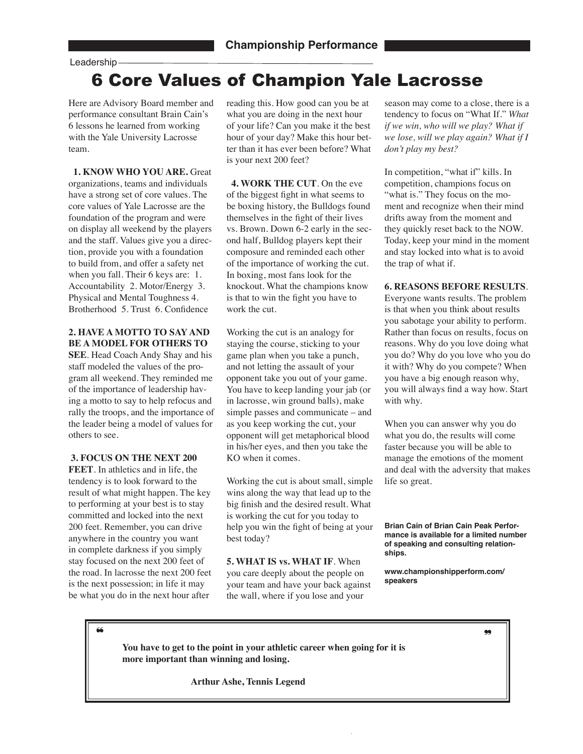Leadership

## 6 Core Values of Champion Yale Lacrosse

Here are Advisory Board member and performance consultant Brain Cain's 6 lessons he learned from working with the Yale University Lacrosse team.

**1. KNOW WHO YOU ARE.** Great organizations, teams and individuals have a strong set of core values. The core values of Yale Lacrosse are the foundation of the program and were on display all weekend by the players and the staff. Values give you a direction, provide you with a foundation to build from, and offer a safety net when you fall. Their 6 keys are: 1. Accountability 2. Motor/Energy 3. Physical and Mental Toughness 4. Brotherhood 5. Trust 6. Confidence

#### **2. HAVE A MOTTO TO SAY AND BE A MODEL FOR OTHERS TO**

**SEE**. Head Coach Andy Shay and his staff modeled the values of the program all weekend. They reminded me of the importance of leadership having a motto to say to help refocus and rally the troops, and the importance of the leader being a model of values for others to see.

#### **3. FOCUS ON THE NEXT 200**

**FEET**. In athletics and in life, the tendency is to look forward to the result of what might happen. The key to performing at your best is to stay committed and locked into the next 200 feet. Remember, you can drive anywhere in the country you want in complete darkness if you simply stay focused on the next 200 feet of the road. In lacrosse the next 200 feet is the next possession; in life it may be what you do in the next hour after

reading this. How good can you be at what you are doing in the next hour of your life? Can you make it the best hour of your day? Make this hour better than it has ever been before? What is your next 200 feet?

**4. WORK THE CUT**. On the eve of the biggest fight in what seems to be boxing history, the Bulldogs found themselves in the fight of their lives vs. Brown. Down 6-2 early in the second half, Bulldog players kept their composure and reminded each other of the importance of working the cut. In boxing, most fans look for the knockout. What the champions know is that to win the fight you have to work the cut.

Working the cut is an analogy for staying the course, sticking to your game plan when you take a punch, and not letting the assault of your opponent take you out of your game. You have to keep landing your jab (or in lacrosse, win ground balls), make simple passes and communicate – and as you keep working the cut, your opponent will get metaphorical blood in his/her eyes, and then you take the KO when it comes.

Working the cut is about small, simple wins along the way that lead up to the big finish and the desired result. What is working the cut for you today to help you win the fight of being at your best today?

**5. WHAT IS vs. WHAT IF**. When you care deeply about the people on your team and have your back against the wall, where if you lose and your

❝ ❞

season may come to a close, there is a tendency to focus on "What If." *What if we win, who will we play? What if we lose, will we play again? What if I don't play my best?*

In competition, "what if" kills. In competition, champions focus on "what is." They focus on the moment and recognize when their mind drifts away from the moment and they quickly reset back to the NOW. Today, keep your mind in the moment and stay locked into what is to avoid the trap of what if.

#### **6. REASONS BEFORE RESULTS**.

Everyone wants results. The problem is that when you think about results you sabotage your ability to perform. Rather than focus on results, focus on reasons. Why do you love doing what you do? Why do you love who you do it with? Why do you compete? When you have a big enough reason why, you will always find a way how. Start with why.

When you can answer why you do what you do, the results will come faster because you will be able to manage the emotions of the moment and deal with the adversity that makes life so great.

**Brian Cain of Brian Cain Peak Performance is available for a limited number of speaking and consulting relationships.** 

**www.championshipperform.com/ speakers**

**You have to get to the point in your athletic career when going for it is more important than winning and losing.**

 **Arthur Ashe, Tennis Legend**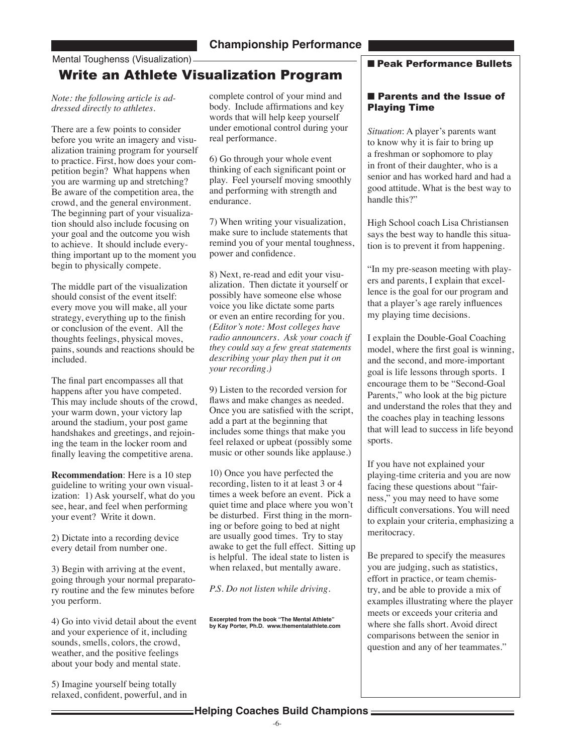#### Mental Toughenss (Visualization)

### Write an Athlete Visualization Program

*Note: the following article is addressed directly to athletes.*

There are a few points to consider before you write an imagery and visualization training program for yourself to practice. First, how does your competition begin? What happens when you are warming up and stretching? Be aware of the competition area, the crowd, and the general environment. The beginning part of your visualization should also include focusing on your goal and the outcome you wish to achieve. It should include everything important up to the moment you begin to physically compete.

The middle part of the visualization should consist of the event itself: every move you will make, all your strategy, everything up to the finish or conclusion of the event. All the thoughts feelings, physical moves, pains, sounds and reactions should be included.

The final part encompasses all that happens after you have competed. This may include shouts of the crowd, your warm down, your victory lap around the stadium, your post game handshakes and greetings, and rejoining the team in the locker room and finally leaving the competitive arena.

**Recommendation**: Here is a 10 step guideline to writing your own visualization: 1) Ask yourself, what do you see, hear, and feel when performing your event? Write it down.

2) Dictate into a recording device every detail from number one.

3) Begin with arriving at the event, going through your normal preparatory routine and the few minutes before you perform.

4) Go into vivid detail about the event and your experience of it, including sounds, smells, colors, the crowd, weather, and the positive feelings about your body and mental state.

5) Imagine yourself being totally relaxed, confident, powerful, and in complete control of your mind and body. Include affirmations and key words that will help keep yourself under emotional control during your real performance.

6) Go through your whole event thinking of each significant point or play. Feel yourself moving smoothly and performing with strength and endurance.

7) When writing your visualization, make sure to include statements that remind you of your mental toughness, power and confidence.

8) Next, re-read and edit your visualization. Then dictate it yourself or possibly have someone else whose voice you like dictate some parts or even an entire recording for you. *(Editor's note: Most colleges have radio announcers. Ask your coach if they could say a few great statements describing your play then put it on your recording.)* 

9) Listen to the recorded version for flaws and make changes as needed. Once you are satisfied with the script, add a part at the beginning that includes some things that make you feel relaxed or upbeat (possibly some music or other sounds like applause.)

10) Once you have perfected the recording, listen to it at least 3 or 4 times a week before an event. Pick a quiet time and place where you won't be disturbed. First thing in the morning or before going to bed at night are usually good times. Try to stay awake to get the full effect. Sitting up is helpful. The ideal state to listen is when relaxed, but mentally aware.

#### *P.S. Do not listen while driving.*

**Excerpted from the book "The Mental Athlete" by Kay Porter, Ph.D. www.thementalathlete.com** 

#### ■ Peak Performance Bullets

#### **n** Parents and the Issue of Playing Time

*Situation*: A player's parents want to know why it is fair to bring up a freshman or sophomore to play in front of their daughter, who is a senior and has worked hard and had a good attitude. What is the best way to handle this?"

High School coach Lisa Christiansen says the best way to handle this situation is to prevent it from happening.

"In my pre-season meeting with players and parents, I explain that excellence is the goal for our program and that a player's age rarely influences my playing time decisions.

I explain the Double-Goal Coaching model, where the first goal is winning, and the second, and more-important goal is life lessons through sports. I encourage them to be "Second-Goal Parents," who look at the big picture and understand the roles that they and the coaches play in teaching lessons that will lead to success in life beyond sports.

If you have not explained your playing-time criteria and you are now facing these questions about "fairness," you may need to have some difficult conversations. You will need to explain your criteria, emphasizing a meritocracy.

Be prepared to specify the measures you are judging, such as statistics, effort in practice, or team chemistry, and be able to provide a mix of examples illustrating where the player meets or exceeds your criteria and where she falls short. Avoid direct comparisons between the senior in question and any of her teammates."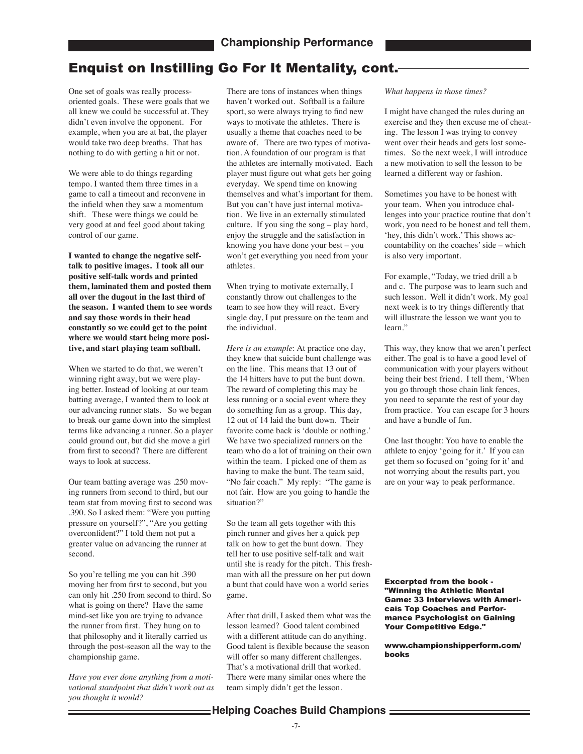### Enquist on Instilling Go For It Mentality, cont.

One set of goals was really processoriented goals. These were goals that we all knew we could be successful at. They didn't even involve the opponent. For example, when you are at bat, the player would take two deep breaths. That has nothing to do with getting a hit or not.

We were able to do things regarding tempo. I wanted them three times in a game to call a timeout and reconvene in the infield when they saw a momentum shift. These were things we could be very good at and feel good about taking control of our game.

**I wanted to change the negative selftalk to positive images. I took all our positive self-talk words and printed them, laminated them and posted them all over the dugout in the last third of the season. I wanted them to see words and say those words in their head constantly so we could get to the point where we would start being more positive, and start playing team softball.**

When we started to do that, we weren't winning right away, but we were playing better. Instead of looking at our team batting average, I wanted them to look at our advancing runner stats. So we began to break our game down into the simplest terms like advancing a runner. So a player could ground out, but did she move a girl from first to second? There are different ways to look at success.

Our team batting average was .250 moving runners from second to third, but our team stat from moving first to second was .390. So I asked them: "Were you putting pressure on yourself?", "Are you getting overconfident?" I told them not put a greater value on advancing the runner at second.

So you're telling me you can hit .390 moving her from first to second, but you can only hit .250 from second to third. So what is going on there? Have the same mind-set like you are trying to advance the runner from first. They hung on to that philosophy and it literally carried us through the post-season all the way to the championship game.

*Have you ever done anything from a motivational standpoint that didn't work out as you thought it would?* 

There are tons of instances when things haven't worked out. Softball is a failure sport, so were always trying to find new ways to motivate the athletes. There is usually a theme that coaches need to be aware of. There are two types of motivation. A foundation of our program is that the athletes are internally motivated. Each player must figure out what gets her going everyday. We spend time on knowing themselves and what's important for them. But you can't have just internal motivation. We live in an externally stimulated culture. If you sing the song – play hard, enjoy the struggle and the satisfaction in knowing you have done your best – you won't get everything you need from your athletes.

When trying to motivate externally, I constantly throw out challenges to the team to see how they will react. Every single day, I put pressure on the team and the individual.

*Here is an example*: At practice one day, they knew that suicide bunt challenge was on the line. This means that 13 out of the 14 hitters have to put the bunt down. The reward of completing this may be less running or a social event where they do something fun as a group. This day, 12 out of 14 laid the bunt down. Their favorite come back is 'double or nothing.' We have two specialized runners on the team who do a lot of training on their own within the team. I picked one of them as having to make the bunt. The team said, "No fair coach." My reply: "The game is not fair. How are you going to handle the situation?"

So the team all gets together with this pinch runner and gives her a quick pep talk on how to get the bunt down. They tell her to use positive self-talk and wait until she is ready for the pitch. This freshman with all the pressure on her put down a bunt that could have won a world series game.

After that drill, I asked them what was the lesson learned? Good talent combined with a different attitude can do anything. Good talent is flexible because the season will offer so many different challenges. That's a motivational drill that worked. There were many similar ones where the team simply didn't get the lesson.

*What happens in those times?*

I might have changed the rules during an exercise and they then excuse me of cheating. The lesson I was trying to convey went over their heads and gets lost sometimes. So the next week, I will introduce a new motivation to sell the lesson to be learned a different way or fashion.

Sometimes you have to be honest with your team. When you introduce challenges into your practice routine that don't work, you need to be honest and tell them, 'hey, this didn't work.' This shows accountability on the coaches' side – which is also very important.

For example, "Today, we tried drill a b and c. The purpose was to learn such and such lesson. Well it didn't work. My goal next week is to try things differently that will illustrate the lesson we want you to learn."

This way, they know that we aren't perfect either. The goal is to have a good level of communication with your players without being their best friend. I tell them, 'When you go through those chain link fences, you need to separate the rest of your day from practice. You can escape for 3 hours and have a bundle of fun.

One last thought: You have to enable the athlete to enjoy 'going for it.' If you can get them so focused on 'going for it' and not worrying about the results part, you are on your way to peak performance.

Excerpted from the book - "Winning the Athletic Mental Game: 33 Interviews with Americaís Top Coaches and Performance Psychologist on Gaining Your Competitive Edge."

www.championshipperform.com/ books

#### **Helping Coaches Build Champions**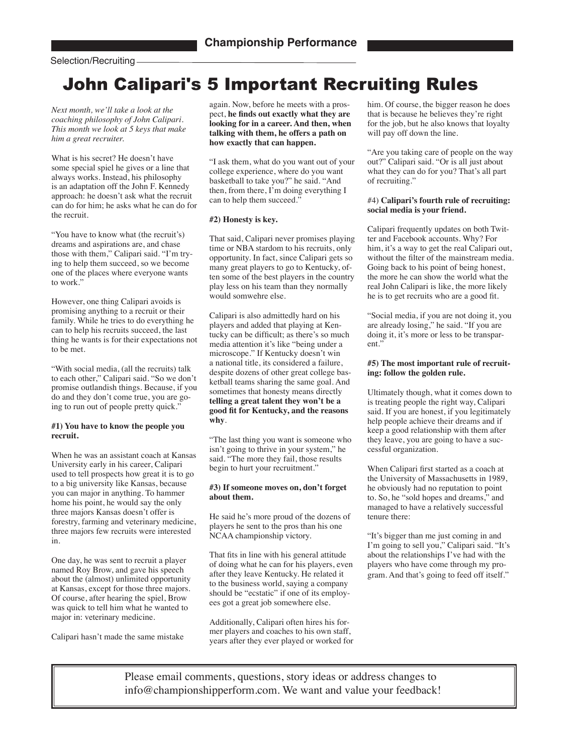Selection/Recruiting

## John Calipari's 5 Important Recruiting Rules

*Next month, we'll take a look at the coaching philosophy of John Calipari. This month we look at 5 keys that make him a great recruiter.* 

What is his secret? He doesn't have some special spiel he gives or a line that always works. Instead, his philosophy is an adaptation off the John F. Kennedy approach: he doesn't ask what the recruit can do for him; he asks what he can do for the recruit.

"You have to know what (the recruit's) dreams and aspirations are, and chase those with them," Calipari said. "I'm trying to help them succeed, so we become one of the places where everyone wants to work."

However, one thing Calipari avoids is promising anything to a recruit or their family. While he tries to do everything he can to help his recruits succeed, the last thing he wants is for their expectations not to be met.

"With social media, (all the recruits) talk to each other," Calipari said. "So we don't promise outlandish things. Because, if you do and they don't come true, you are going to run out of people pretty quick."

#### **#1) You have to know the people you recruit.**

When he was an assistant coach at Kansas University early in his career, Calipari used to tell prospects how great it is to go to a big university like Kansas, because you can major in anything. To hammer home his point, he would say the only three majors Kansas doesn't offer is forestry, farming and veterinary medicine, three majors few recruits were interested in.

One day, he was sent to recruit a player named Roy Brow, and gave his speech about the (almost) unlimited opportunity at Kansas, except for those three majors. Of course, after hearing the spiel, Brow was quick to tell him what he wanted to major in: veterinary medicine.

Calipari hasn't made the same mistake

again. Now, before he meets with a prospect, **he finds out exactly what they are looking for in a career. And then, when talking with them, he offers a path on how exactly that can happen.**

"I ask them, what do you want out of your college experience, where do you want basketball to take you?" he said. "And then, from there, I'm doing everything I can to help them succeed."

#### **#2) Honesty is key.**

That said, Calipari never promises playing time or NBA stardom to his recruits, only opportunity. In fact, since Calipari gets so many great players to go to Kentucky, often some of the best players in the country play less on his team than they normally would somwehre else.

Calipari is also admittedly hard on his players and added that playing at Kentucky can be difficult; as there's so much media attention it's like "being under a microscope." If Kentucky doesn't win a national title, its considered a failure, despite dozens of other great college basketball teams sharing the same goal. And sometimes that honesty means directly **telling a great talent they won't be a good fit for Kentucky, and the reasons why**.

"The last thing you want is someone who isn't going to thrive in your system," he said. "The more they fail, those results begin to hurt your recruitment."

#### **#3) If someone moves on, don't forget about them.**

He said he's more proud of the dozens of players he sent to the pros than his one NCAA championship victory.

That fits in line with his general attitude of doing what he can for his players, even after they leave Kentucky. He related it to the business world, saying a company should be "ecstatic" if one of its employees got a great job somewhere else.

Additionally, Calipari often hires his former players and coaches to his own staff, years after they ever played or worked for him. Of course, the bigger reason he does that is because he believes they're right for the job, but he also knows that loyalty will pay off down the line.

"Are you taking care of people on the way out?" Calipari said. "Or is all just about what they can do for you? That's all part of recruiting."

#### #4) **Calipari's fourth rule of recruiting: social media is your friend.**

Calipari frequently updates on both Twitter and Facebook accounts. Why? For him, it's a way to get the real Calipari out, without the filter of the mainstream media. Going back to his point of being honest, the more he can show the world what the real John Calipari is like, the more likely he is to get recruits who are a good fit.

"Social media, if you are not doing it, you are already losing," he said. "If you are doing it, it's more or less to be transparent."

#### **#5) The most important rule of recruiting: follow the golden rule.**

Ultimately though, what it comes down to is treating people the right way, Calipari said. If you are honest, if you legitimately help people achieve their dreams and if keep a good relationship with them after they leave, you are going to have a successful organization.

When Calipari first started as a coach at the University of Massachusetts in 1989, he obviously had no reputation to point to. So, he "sold hopes and dreams," and managed to have a relatively successful tenure there:

"It's bigger than me just coming in and I'm going to sell you," Calipari said. "It's about the relationships I've had with the players who have come through my program. And that's going to feed off itself."

Please email comments, questions, story ideas or address changes to info@championshipperform.com. We want and value your feedback!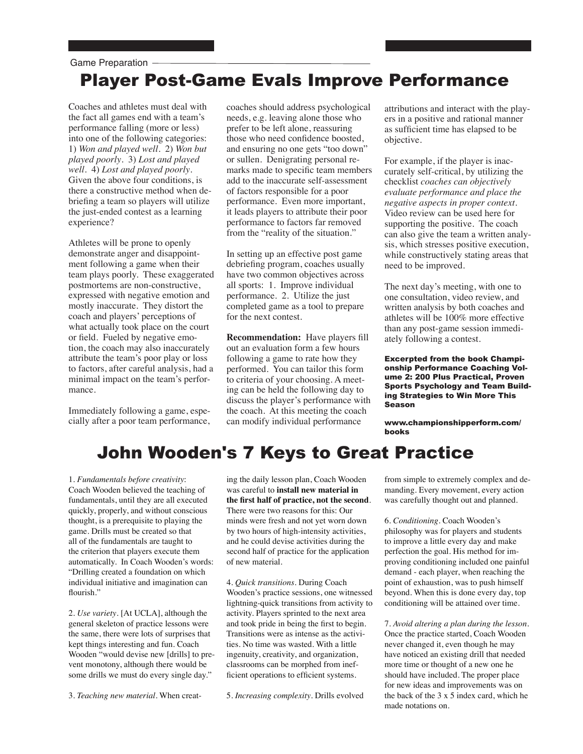Game Preparation

## Player Post-Game Evals Improve Performance

Coaches and athletes must deal with the fact all games end with a team's performance falling (more or less) into one of the following categories: 1) *Won and played well*. 2) *Won but played poorly*. 3) *Lost and played well*. 4) *Lost and played poorly*. Given the above four conditions, is there a constructive method when debriefing a team so players will utilize the just-ended contest as a learning experience?

Athletes will be prone to openly demonstrate anger and disappointment following a game when their team plays poorly. These exaggerated postmortems are non-constructive, expressed with negative emotion and mostly inaccurate. They distort the coach and players' perceptions of what actually took place on the court or field. Fueled by negative emotion, the coach may also inaccurately attribute the team's poor play or loss to factors, after careful analysis, had a minimal impact on the team's performance.

Immediately following a game, especially after a poor team performance, coaches should address psychological needs, e.g. leaving alone those who prefer to be left alone, reassuring those who need confidence boosted, and ensuring no one gets "too down" or sullen. Denigrating personal remarks made to specific team members add to the inaccurate self-assessment of factors responsible for a poor performance. Even more important, it leads players to attribute their poor performance to factors far removed from the "reality of the situation."

In setting up an effective post game debriefing program, coaches usually have two common objectives across all sports: 1. Improve individual performance. 2. Utilize the just completed game as a tool to prepare for the next contest.

**Recommendation:** Have players fill out an evaluation form a few hours following a game to rate how they performed. You can tailor this form to criteria of your choosing. A meeting can be held the following day to discuss the player's performance with the coach. At this meeting the coach can modify individual performance

attributions and interact with the players in a positive and rational manner as sufficient time has elapsed to be objective.

For example, if the player is inaccurately self-critical, by utilizing the checklist *coaches can objectively evaluate performance and place the negative aspects in proper context*. Video review can be used here for supporting the positive. The coach can also give the team a written analysis, which stresses positive execution, while constructively stating areas that need to be improved.

The next day's meeting, with one to one consultation, video review, and written analysis by both coaches and athletes will be 100% more effective than any post-game session immediately following a contest.

Excerpted from the book Championship Performance Coaching Volume 2: 200 Plus Practical, Proven Sports Psychology and Team Building Strategies to Win More This Season

www.championshipperform.com/ books

## John Wooden's 7 Keys to Great Practice

1. *Fundamentals before creativity*: Coach Wooden believed the teaching of fundamentals, until they are all executed quickly, properly, and without conscious thought, is a prerequisite to playing the game. Drills must be created so that all of the fundamentals are taught to the criterion that players execute them automatically. In Coach Wooden's words: "Drilling created a foundation on which individual initiative and imagination can flourish."

2. *Use variety*. [At UCLA], although the general skeleton of practice lessons were the same, there were lots of surprises that kept things interesting and fun. Coach Wooden "would devise new [drills] to prevent monotony, although there would be some drills we must do every single day."

ing the daily lesson plan, Coach Wooden was careful to **install new material in the first half of practice, not the second**. There were two reasons for this: Our minds were fresh and not yet worn down by two hours of high-intensity activities, and he could devise activities during the second half of practice for the application of new material.

4. *Quick transitions*. During Coach Wooden's practice sessions, one witnessed lightning-quick transitions from activity to activity. Players sprinted to the next area and took pride in being the first to begin. Transitions were as intense as the activities. No time was wasted. With a little ingenuity, creativity, and organization, classrooms can be morphed from inefficient operations to efficient systems.

5. *Increasing complexity*. Drills evolved

from simple to extremely complex and demanding. Every movement, every action was carefully thought out and planned.

6. *Conditioning*. Coach Wooden's philosophy was for players and students to improve a little every day and make perfection the goal. His method for improving conditioning included one painful demand - each player, when reaching the point of exhaustion, was to push himself beyond. When this is done every day, top conditioning will be attained over time.

7. *Avoid altering a plan during the lesson*. Once the practice started, Coach Wooden never changed it, even though he may have noticed an existing drill that needed more time or thought of a new one he should have included. The proper place for new ideas and improvements was on the back of the 3 x 5 index card, which he made notations on.

3. *Teaching new material*. When creat-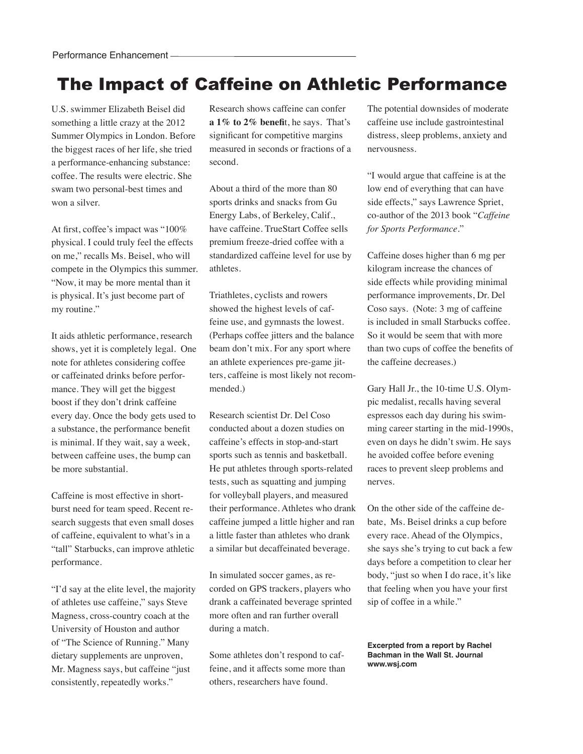## The Impact of Caffeine on Athletic Performance

U.S. swimmer Elizabeth Beisel did something a little crazy at the 2012 Summer Olympics in London. Before the biggest races of her life, she tried a performance-enhancing substance: coffee. The results were electric. She swam two personal-best times and won a silver.

At first, coffee's impact was "100% physical. I could truly feel the effects on me," recalls Ms. Beisel, who will compete in the Olympics this summer. "Now, it may be more mental than it is physical. It's just become part of my routine."

It aids athletic performance, research shows, yet it is completely legal. One note for athletes considering coffee or caffeinated drinks before performance. They will get the biggest boost if they don't drink caffeine every day. Once the body gets used to a substance, the performance benefit is minimal. If they wait, say a week, between caffeine uses, the bump can be more substantial.

Caffeine is most effective in shortburst need for team speed. Recent research suggests that even small doses of caffeine, equivalent to what's in a "tall" Starbucks, can improve athletic performance.

"I'd say at the elite level, the majority of athletes use caffeine," says Steve Magness, cross-country coach at the University of Houston and author of "The Science of Running." Many dietary supplements are unproven, Mr. Magness says, but caffeine "just consistently, repeatedly works."

Research shows caffeine can confer **a 1% to 2% benefi**t, he says. That's significant for competitive margins measured in seconds or fractions of a second.

About a third of the more than 80 sports drinks and snacks from Gu Energy Labs, of Berkeley, Calif., have caffeine. TrueStart Coffee sells premium freeze-dried coffee with a standardized caffeine level for use by athletes.

Triathletes, cyclists and rowers showed the highest levels of caffeine use, and gymnasts the lowest. (Perhaps coffee jitters and the balance beam don't mix. For any sport where an athlete experiences pre-game jitters, caffeine is most likely not recommended.)

Research scientist Dr. Del Coso conducted about a dozen studies on caffeine's effects in stop-and-start sports such as tennis and basketball. He put athletes through sports-related tests, such as squatting and jumping for volleyball players, and measured their performance. Athletes who drank caffeine jumped a little higher and ran a little faster than athletes who drank a similar but decaffeinated beverage.

In simulated soccer games, as recorded on GPS trackers, players who drank a caffeinated beverage sprinted more often and ran further overall during a match.

Some athletes don't respond to caffeine, and it affects some more than others, researchers have found.

The potential downsides of moderate caffeine use include gastrointestinal distress, sleep problems, anxiety and nervousness.

"I would argue that caffeine is at the low end of everything that can have side effects," says Lawrence Spriet, co-author of the 2013 book "*Caffeine for Sports Performance*."

Caffeine doses higher than 6 mg per kilogram increase the chances of side effects while providing minimal performance improvements, Dr. Del Coso says. (Note: 3 mg of caffeine is included in small Starbucks coffee. So it would be seem that with more than two cups of coffee the benefits of the caffeine decreases.)

Gary Hall Jr., the 10-time U.S. Olympic medalist, recalls having several espressos each day during his swimming career starting in the mid-1990s, even on days he didn't swim. He says he avoided coffee before evening races to prevent sleep problems and nerves.

On the other side of the caffeine debate, Ms. Beisel drinks a cup before every race. Ahead of the Olympics, she says she's trying to cut back a few days before a competition to clear her body, "just so when I do race, it's like that feeling when you have your first sip of coffee in a while."

**Excerpted from a report by Rachel Bachman in the Wall St. Journal www.wsj.com**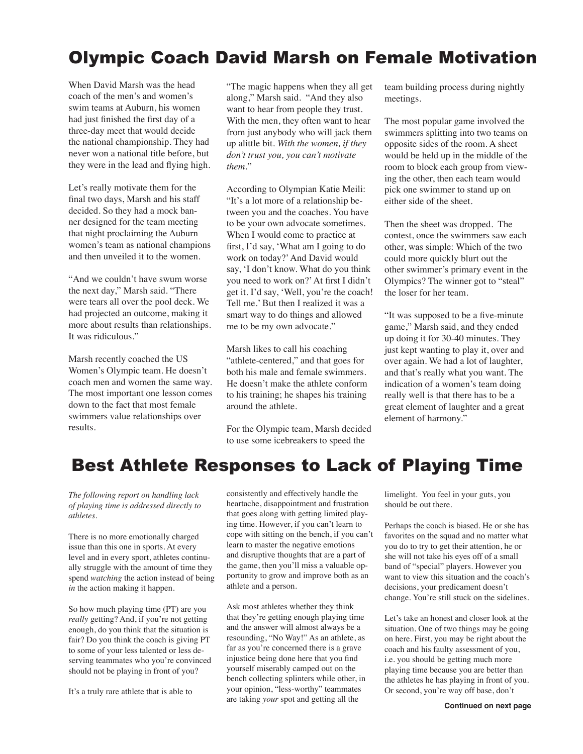## Olympic Coach David Marsh on Female Motivation

When David Marsh was the head coach of the men's and women's swim teams at Auburn, his women had just finished the first day of a three-day meet that would decide the national championship. They had never won a national title before, but they were in the lead and flying high.

Let's really motivate them for the final two days, Marsh and his staff decided. So they had a mock banner designed for the team meeting that night proclaiming the Auburn women's team as national champions and then unveiled it to the women.

"And we couldn't have swum worse the next day," Marsh said. "There were tears all over the pool deck. We had projected an outcome, making it more about results than relationships. It was ridiculous."

Marsh recently coached the US Women's Olympic team. He doesn't coach men and women the same way. The most important one lesson comes down to the fact that most female swimmers value relationships over results.

"The magic happens when they all get along," Marsh said. "And they also want to hear from people they trust. With the men, they often want to hear from just anybody who will jack them up alittle bit. *With the women, if they don't trust you, you can't motivate them.*"

According to Olympian Katie Meili: "It's a lot more of a relationship between you and the coaches. You have to be your own advocate sometimes. When I would come to practice at first, I'd say, 'What am I going to do work on today?' And David would say, 'I don't know. What do you think you need to work on?' At first I didn't get it. I'd say, 'Well, you're the coach! Tell me.' But then I realized it was a smart way to do things and allowed me to be my own advocate."

Marsh likes to call his coaching "athlete-centered," and that goes for both his male and female swimmers. He doesn't make the athlete conform to his training; he shapes his training around the athlete.

For the Olympic team, Marsh decided to use some icebreakers to speed the

team building process during nightly meetings.

The most popular game involved the swimmers splitting into two teams on opposite sides of the room. A sheet would be held up in the middle of the room to block each group from viewing the other, then each team would pick one swimmer to stand up on either side of the sheet.

Then the sheet was dropped. The contest, once the swimmers saw each other, was simple: Which of the two could more quickly blurt out the other swimmer's primary event in the Olympics? The winner got to "steal" the loser for her team.

"It was supposed to be a five-minute game," Marsh said, and they ended up doing it for 30-40 minutes. They just kept wanting to play it, over and over again. We had a lot of laughter, and that's really what you want. The indication of a women's team doing really well is that there has to be a great element of laughter and a great element of harmony."

### Best Athlete Responses to Lack of Playing Time

*The following report on handling lack of playing time is addressed directly to athletes.*

There is no more emotionally charged issue than this one in sports. At every level and in every sport, athletes continually struggle with the amount of time they spend *watching* the action instead of being *in* the action making it happen.

So how much playing time (PT) are you *really* getting? And, if you're not getting enough, do you think that the situation is fair? Do you think the coach is giving PT to some of your less talented or less deserving teammates who you're convinced should not be playing in front of you?

It's a truly rare athlete that is able to

consistently and effectively handle the heartache, disappointment and frustration that goes along with getting limited playing time. However, if you can't learn to cope with sitting on the bench, if you can't learn to master the negative emotions and disruptive thoughts that are a part of the game, then you'll miss a valuable opportunity to grow and improve both as an athlete and a person.

Ask most athletes whether they think that they're getting enough playing time and the answer will almost always be a resounding, "No Way!" As an athlete, as far as you're concerned there is a grave injustice being done here that you find yourself miserably camped out on the bench collecting splinters while other, in your opinion, "less-worthy" teammates are taking *your* spot and getting all the

limelight. You feel in your guts, you should be out there.

Perhaps the coach is biased. He or she has favorites on the squad and no matter what you do to try to get their attention, he or she will not take his eyes off of a small band of "special" players. However you want to view this situation and the coach's decisions, your predicament doesn't change. You're still stuck on the sidelines.

Let's take an honest and closer look at the situation. One of two things may be going on here. First, you may be right about the coach and his faulty assessment of you, i.e. you should be getting much more playing time because you are better than the athletes he has playing in front of you. Or second, you're way off base, don't